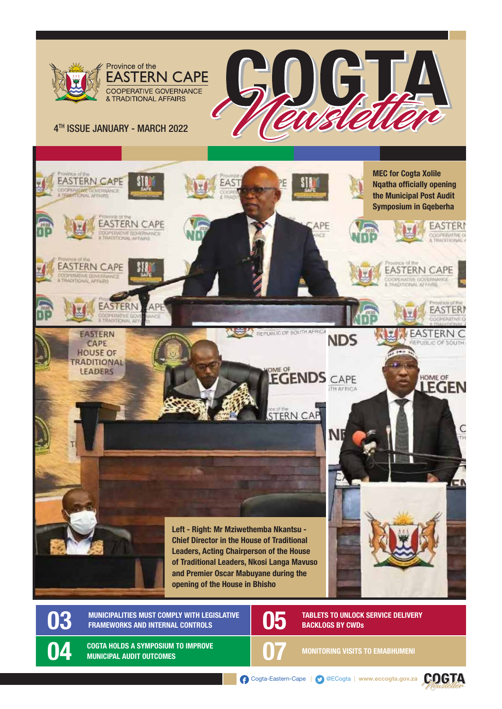

O4 COGTA HOLDS A SYMPOSIUM TO IMPROVE **1999 100 MILLION** MONITORING VISITS TO EMABHUMENI

Cogta-Eastern-Cape | @ECogta | www.eccogta.gov.za

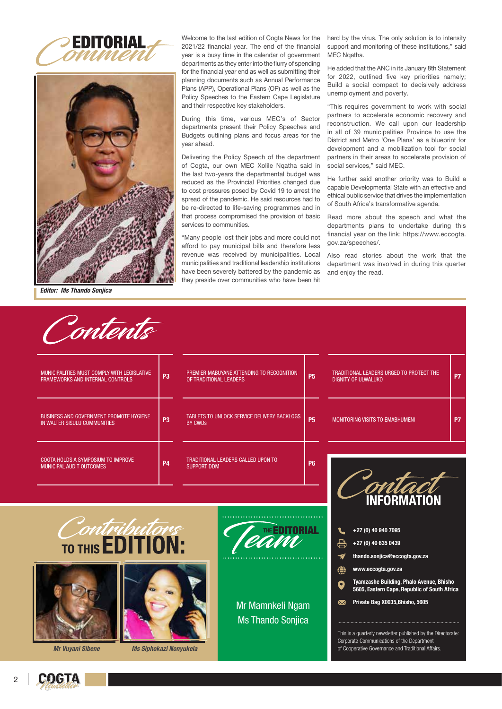



*Editor: Ms Thando Sonjica*

Contanta

Welcome to the last edition of Cogta News for the 2021/22 financial year. The end of the financial year is a busy time in the calendar of government departments as they enter into the flurry of spending for the financial year end as well as submitting their planning documents such as Annual Performance Plans (APP), Operational Plans (OP) as well as the Policy Speeches to the Eastern Cape Legislature and their respective key stakeholders.

During this time, various MEC's of Sector departments present their Policy Speeches and Budgets outlining plans and focus areas for the year ahead.

Delivering the Policy Speech of the department of Cogta, our own MEC Xolile Nqatha said in the last two-years the departmental budget was reduced as the Provincial Priorities changed due to cost pressures posed by Covid 19 to arrest the spread of the pandemic. He said resources had to be re-directed to life-saving programmes and in that process compromised the provision of basic services to communities.

"Many people lost their jobs and more could not afford to pay municipal bills and therefore less revenue was received by municipalities. Local municipalities and traditional leadership institutions have been severely battered by the pandemic as they preside over communities who have been hit

hard by the virus. The only solution is to intensity support and monitoring of these institutions," said MEC Ngatha.

He added that the ANC in its January 8th Statement for 2022, outlined five key priorities namely; Build a social compact to decisively address unemployment and poverty.

"This requires government to work with social partners to accelerate economic recovery and reconstruction. We call upon our leadership in all of 39 municipalities Province to use the District and Metro 'One Plans' as a blueprint for development and a mobilization tool for social partners in their areas to accelerate provision of social services," said MEC.

He further said another priority was to Build a capable Developmental State with an effective and ethical public service that drives the implementation of South Africa's transformative agenda.

Read more about the speech and what the departments plans to undertake during this financial year on the link: https://www.eccogta. gov.za/speeches/.

Also read stories about the work that the department was involved in during this quarter and enjoy the read.

| pruerus                                                                         |                |                                                                     |                                             |           |                                                                                                                                                              |           |
|---------------------------------------------------------------------------------|----------------|---------------------------------------------------------------------|---------------------------------------------|-----------|--------------------------------------------------------------------------------------------------------------------------------------------------------------|-----------|
| MUNICIPALITIES MUST COMPLY WITH LEGISLATIVE<br>FRAMEWORKS AND INTERNAL CONTROLS | P <sub>3</sub> | PREMIER MABUYANE ATTENDING TO RECOGNITION<br>OF TRADITIONAL LEADERS |                                             |           | TRADITIONAL LEADERS URGED TO PROTECT THE<br><b>DIGNITY OF ULWALUKO</b>                                                                                       | <b>P7</b> |
| <b>BUSINESS AND GOVERNMENT PROMOTE HYGIENE</b><br>IN WALTER SISULU COMMUNITIES  | P <sub>3</sub> | <b>BY CWDs</b>                                                      | TABLETS TO UNLOCK SERVICE DELIVERY BACKLOGS | <b>P5</b> | <b>MONITORING VISITS TO EMABHUMENI</b>                                                                                                                       | P7        |
| COGTA HOLDS A SYMPOSIUM TO IMPROVE<br>MUNICIPAL AUDIT OUTCOMES                  | <b>P4</b>      | TRADITIONAL LEADERS CALLED UPON TO<br><b>SUPPORT DDM</b>            |                                             |           | <b>INFORMATION</b>                                                                                                                                           |           |
| Contributors<br>TO THIS <b>EDITION:</b>                                         |                |                                                                     |                                             | 'ORIAL    | +27 (0) 40 940 7095<br>号<br>+27 (0) 40 635 0439<br>thando.sonjica@eccogta.gov.za<br>◀<br>⊜<br>www.eccogta.gov.za<br>Tyamzacha Ruilding, Phalo Ayanya, Rhicho |           |



Private Bag X0035,Bhisho, 5605  $\overline{\mathbf{M}}$ 

This is a quarterly newsletter published by the Directorate: Corporate Communications of the Department of Cooperative Governance and Traditional Affairs.

*Mr Vuyani Sibene Ms Siphokazi Nonyukela*





**GOGTA**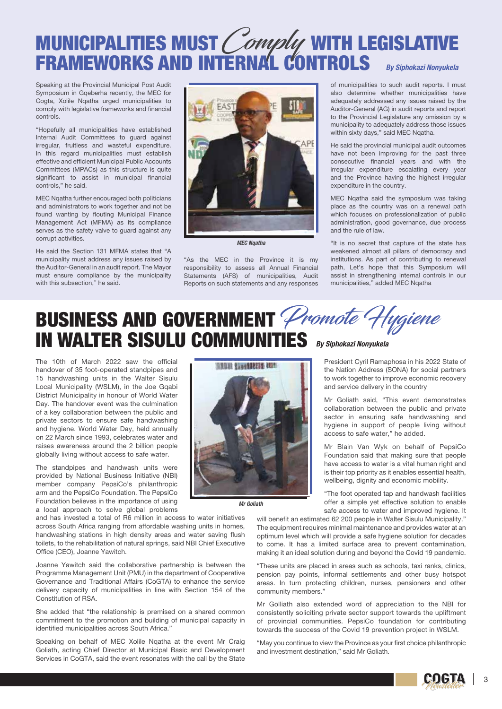#### MUNICIPALITIES MUST*( omply* with legislative FRAMEWORKS AND INTERNAL CONTROLS Comply *By Siphokazi Nonyukela*

Speaking at the Provincial Municipal Post Audit Symposium in Gqeberha recently, the MEC for Cogta, Xolile Nqatha urged municipalities to comply with legislative frameworks and financial controls.

"Hopefully all municipalities have established Internal Audit Committees to guard against irregular, fruitless and wasteful expenditure. In this regard municipalities must establish effective and efficient Municipal Public Accounts Committees (MPACs) as this structure is quite significant to assist in municipal financial controls," he said.

MEC Nqatha further encouraged both politicians and administrators to work together and not be found wanting by flouting Municipal Finance Management Act (MFMA) as its compliance serves as the safety valve to guard against any corrupt activities.

He said the Section 131 MFMA states that "A municipality must address any issues raised by the Auditor-General in an audit report. The Mayor must ensure compliance by the municipality with this subsection," he said.



*MEC Nqatha*

"As the MEC in the Province it is my responsibility to assess all Annual Financial Statements (AFS) of municipalities, Audit Reports on such statements and any responses

of municipalities to such audit reports. I must also determine whether municipalities have adequately addressed any issues raised by the Auditor-General (AG) in audit reports and report to the Provincial Legislature any omission by a municipality to adequately address those issues within sixty days," said MEC Nqatha.

He said the provincial municipal audit outcomes have not been improving for the past three consecutive financial years and with the irregular expenditure escalating every year and the Province having the highest irregular expenditure in the country.

MEC Nqatha said the symposium was taking place as the country was on a renewal path which focuses on professionalization of public administration, good governance, due process and the rule of law.

"It is no secret that capture of the state has weakened almost all pillars of democracy and institutions. As part of contributing to renewal path, Let's hope that this Symposium will assist in strengthening internal controls in our municipalities," added MEC Nqatha

### BUSINESS AND GOVERNMENT *Promote Hygiene* IN WALTER SISULU COMMUNITIES *By Siphokazi Nonyukela*

The 10th of March 2022 saw the official handover of 35 foot-operated standpipes and 15 handwashing units in the Walter Sisulu Local Municipality (WSLM), in the Joe Gqabi District Municipality in honour of World Water Day. The handover event was the culmination of a key collaboration between the public and private sectors to ensure safe handwashing and hygiene. World Water Day, held annually on 22 March since 1993, celebrates water and raises awareness around the 2 billion people globally living without access to safe water.

The standpipes and handwash units were provided by National Business Initiative (NBI) member company PepsiCo's philanthropic arm and the PepsiCo Foundation. The PepsiCo Foundation believes in the importance of using a local approach to solve global problems

and has invested a total of R6 million in access to water initiatives across South Africa ranging from affordable washing units in homes, handwashing stations in high density areas and water saving flush toilets, to the rehabilitation of natural springs, said NBI Chief Executive Office (CEO), Joanne Yawitch.

Joanne Yawitch said the collaborative partnership is between the Programme Management Unit (PMU) in the department of Cooperative Governance and Traditional Affairs (CoGTA) to enhance the service delivery capacity of municipalities in line with Section 154 of the Constitution of RSA.

She added that "the relationship is premised on a shared common commitment to the promotion and building of municipal capacity in identified municipalities across South Africa."

Speaking on behalf of MEC Xolile Ngatha at the event Mr Craig Goliath, acting Chief Director at Municipal Basic and Development Services in CoGTA, said the event resonates with the call by the State



*Mr Goliath*

President Cyril Ramaphosa in his 2022 State of the Nation Address (SONA) for social partners to work together to improve economic recovery and service delivery in the country

Mr Goliath said, "This event demonstrates collaboration between the public and private sector in ensuring safe handwashing and hygiene in support of people living without access to safe water," he added.

Mr Blain Van Wyk on behalf of PepsiCo Foundation said that making sure that people have access to water is a vital human right and is their top priority as it enables essential health, wellbeing, dignity and economic mobility.

"The foot operated tap and handwash facilities offer a simple yet effective solution to enable safe access to water and improved hygiene. It

will benefit an estimated 62 200 people in Walter Sisulu Municipality." The equipment requires minimal maintenance and provides water at an optimum level which will provide a safe hygiene solution for decades to come. It has a limited surface area to prevent contamination, making it an ideal solution during and beyond the Covid 19 pandemic.

"These units are placed in areas such as schools, taxi ranks, clinics, pension pay points, informal settlements and other busy hotspot areas. In turn protecting children, nurses, pensioners and other community members."

Mr Golliath also extended word of appreciation to the NBI for consistently soliciting private sector support towards the upliftment of provincial communities. PepsiCo foundation for contributing towards the success of the Covid 19 prevention project in WSLM.

"May you continue to view the Province as your first choice philanthropic and investment destination," said Mr Goliath.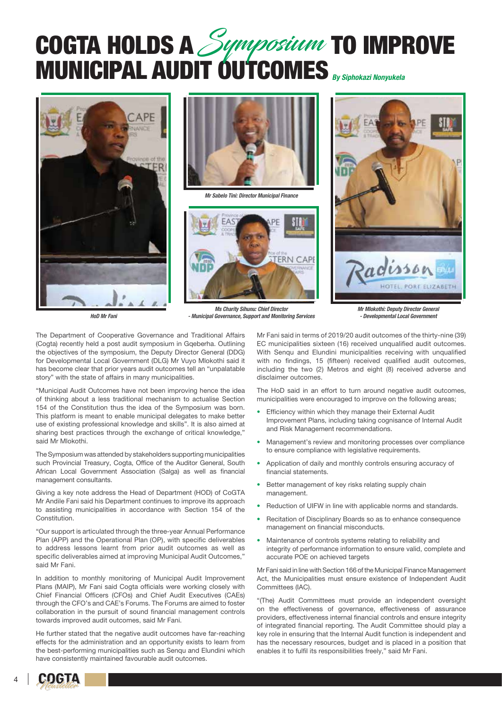### **COGTA HOLDS A** Symposium TO IMPROVE MUNICIPAL AUDIT OUTCOMES *By Siphokazi Nonyukela* Symposium





*Mr Sabelo Tini: Director Municipal Finance*



adisson HOTEL PORT FUZARETH

*Mr Mlokothi: Deputy Director General - Developmental Local Government*

*HoD Mr Fani*

*Ms Charity Sihunu: Chief Director - Municipal Governance, Support and Monitoring Services*

The Department of Cooperative Governance and Traditional Affairs (Cogta) recently held a post audit symposium in Gqeberha. Outlining the objectives of the symposium, the Deputy Director General (DDG) for Developmental Local Government (DLG) Mr Vuyo Mlokothi said it has become clear that prior years audit outcomes tell an "unpalatable story" with the state of affairs in many municipalities.

"Municipal Audit Outcomes have not been improving hence the idea of thinking about a less traditional mechanism to actualise Section 154 of the Constitution thus the idea of the Symposium was born. This platform is meant to enable municipal delegates to make better use of existing professional knowledge and skills". It is also aimed at sharing best practices through the exchange of critical knowledge." said Mr Mlokothi.

The Symposium was attended by stakeholders supporting municipalities such Provincial Treasury, Cogta, Office of the Auditor General, South African Local Government Association (Salga) as well as financial management consultants.

Giving a key note address the Head of Department (HOD) of CoGTA Mr Andile Fani said his Department continues to improve its approach to assisting municipalities in accordance with Section 154 of the Constitution.

"Our support is articulated through the three-year Annual Performance Plan (APP) and the Operational Plan (OP), with specific deliverables to address lessons learnt from prior audit outcomes as well as specific deliverables aimed at improving Municipal Audit Outcomes," said Mr Fani.

In addition to monthly monitoring of Municipal Audit Improvement Plans (MAIP), Mr Fani said Cogta officials were working closely with Chief Financial Officers (CFOs) and Chief Audit Executives (CAEs) through the CFO's and CAE's Forums. The Forums are aimed to foster collaboration in the pursuit of sound financial management controls towards improved audit outcomes, said Mr Fani.

He further stated that the negative audit outcomes have far-reaching effects for the administration and an opportunity exists to learn from the best-performing municipalities such as Senqu and Elundini which have consistently maintained favourable audit outcomes.

Mr Fani said in terms of 2019/20 audit outcomes of the thirty-nine (39) EC municipalities sixteen (16) received unqualified audit outcomes. With Senqu and Elundini municipalities receiving with unqualified with no findings, 15 (fifteen) received qualified audit outcomes, including the two (2) Metros and eight (8) received adverse and disclaimer outcomes.

The HoD said in an effort to turn around negative audit outcomes, municipalities were encouraged to improve on the following areas;

- Efficiency within which they manage their External Audit Improvement Plans, including taking cognisance of Internal Audit and Risk Management recommendations.
- Management's review and monitoring processes over compliance to ensure compliance with legislative requirements.
- Application of daily and monthly controls ensuring accuracy of financial statements.
- Better management of key risks relating supply chain management.
- Reduction of UIFW in line with applicable norms and standards.
- Recitation of Disciplinary Boards so as to enhance consequence management on financial misconducts.
- Maintenance of controls systems relating to reliability and integrity of performance information to ensure valid, complete and accurate POE on achieved targets

Mr Fani said in line with Section 166 of the Municipal Finance Management Act, the Municipalities must ensure existence of Independent Audit Committees (IAC).

"(The) Audit Committees must provide an independent oversight on the effectiveness of governance, effectiveness of assurance providers, effectiveness internal financial controls and ensure integrity of integrated financial reporting. The Audit Committee should play a key role in ensuring that the Internal Audit function is independent and has the necessary resources, budget and is placed in a position that enables it to fulfil its responsibilities freely," said Mr Fani.

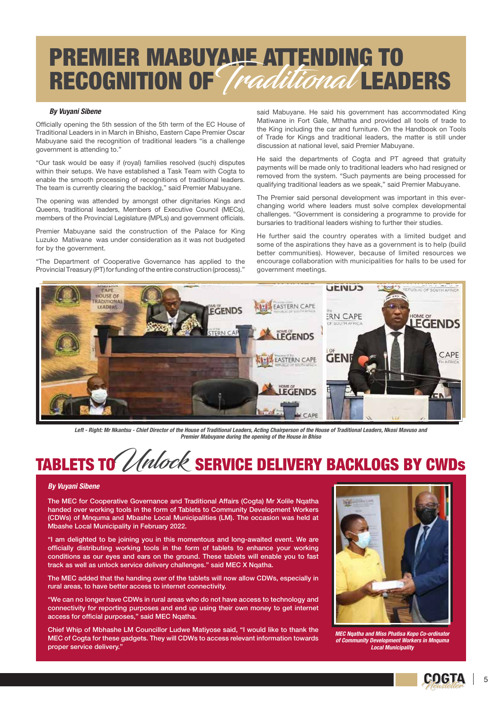### PREMIER MABUYANE ATTENDING TO RECOGNITION OF *[raditional* LEADERS

#### *By Vuyani Sibene*

Officially opening the 5th session of the 5th term of the EC House of Traditional Leaders in in March in Bhisho, Eastern Cape Premier Oscar Mabuyane said the recognition of traditional leaders "is a challenge government is attending to."

"Our task would be easy if (royal) families resolved (such) disputes within their setups. We have established a Task Team with Cogta to enable the smooth processing of recognitions of traditional leaders. The team is currently clearing the backlog," said Premier Mabuyane.

The opening was attended by amongst other dignitaries Kings and Queens, traditional leaders, Members of Executive Council (MECs), members of the Provincial Legislature (MPLs) and government officials.

Premier Mabuyane said the construction of the Palace for King Luzuko Matiwane was under consideration as it was not budgeted for by the government.

"The Department of Cooperative Governance has applied to the Provincial Treasury (PT) for funding of the entire construction (process)."

said Mabuyane. He said his government has accommodated King Matiwane in Fort Gale, Mthatha and provided all tools of trade to the King including the car and furniture. On the Handbook on Tools of Trade for Kings and traditional leaders, the matter is still under discussion at national level, said Premier Mabuyane.

He said the departments of Cogta and PT agreed that gratuity payments will be made only to traditional leaders who had resigned or removed from the system. "Such payments are being processed for qualifying traditional leaders as we speak," said Premier Mabuyane.

The Premier said personal development was important in this everchanging world where leaders must solve complex developmental challenges. "Government is considering a programme to provide for bursaries to traditional leaders wishing to further their studies.

He further said the country operates with a limited budget and some of the aspirations they have as a government is to help (build better communities). However, because of limited resources we encourage collaboration with municipalities for halls to be used for government meetings.



*Left - Right: Mr Nkantsu - Chief Director of the House of Traditional Leaders, Acting Chairperson of the House of Traditional Leaders, Nkosi Mavuso and Premier Mabuyane during the opening of the House in Bhiso*

## TABLETS TO Unlock SERVICE DELIVERY BACKLOGS BY CWDs

#### *By Vuyani Sibene*

The MEC for Cooperative Governance and Traditional Affairs (Cogta) Mr Xolile Nqatha handed over working tools in the form of Tablets to Community Development Workers (CDWs) of Mnquma and Mbashe Local Municipalities (LM). The occasion was held at Mbashe Local Municipality in February 2022.

"I am delighted to be joining you in this momentous and long-awaited event. We are officially distributing working tools in the form of tablets to enhance your working conditions as our eyes and ears on the ground. These tablets will enable you to fast track as well as unlock service delivery challenges." said MEC X Nqatha.

The MEC added that the handing over of the tablets will now allow CDWs, especially in rural areas, to have better access to internet connectivity.

"We can no longer have CDWs in rural areas who do not have access to technology and connectivity for reporting purposes and end up using their own money to get internet access for official purposes," said MEC Ngatha.

Chief Whip of Mbhashe LM Councillor Ludwe Matiyose said, "I would like to thank the MEC of Cogta for these gadgets. They will CDWs to access relevant information towards proper service delivery.



*MEC Nqatha and Miss Phatisa Kopo Co-ordinator of Community Development Workers in Mnquma Local Municipality*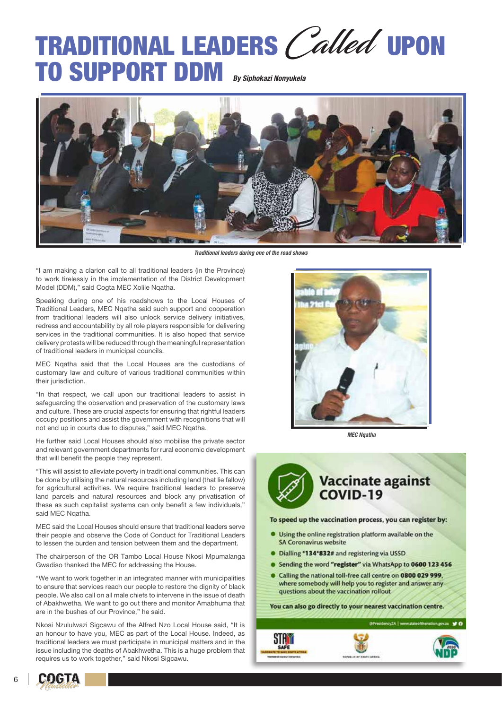## TRADITIONAL LEADERS Called UPON TO SUPPORT DDM *By Siphokazi Nonyukela*



*Traditional leaders during one of the road shows*

"I am making a clarion call to all traditional leaders (in the Province) to work tirelessly in the implementation of the District Development Model (DDM)," said Cogta MEC Xolile Nqatha.

Speaking during one of his roadshows to the Local Houses of Traditional Leaders, MEC Nqatha said such support and cooperation from traditional leaders will also unlock service delivery initiatives, redress and accountability by all role players responsible for delivering services in the traditional communities. It is also hoped that service delivery protests will be reduced through the meaningful representation of traditional leaders in municipal councils.

MEC Nqatha said that the Local Houses are the custodians of customary law and culture of various traditional communities within their jurisdiction.

"In that respect, we call upon our traditional leaders to assist in safeguarding the observation and preservation of the customary laws and culture. These are crucial aspects for ensuring that rightful leaders occupy positions and assist the government with recognitions that will not end up in courts due to disputes," said MEC Nqatha.

He further said Local Houses should also mobilise the private sector and relevant government departments for rural economic development that will benefit the people they represent.

"This will assist to alleviate poverty in traditional communities. This can be done by utilising the natural resources including land (that lie fallow) for agricultural activities. We require traditional leaders to preserve land parcels and natural resources and block any privatisation of these as such capitalist systems can only benefit a few individuals," said MEC Ngatha.

MEC said the Local Houses should ensure that traditional leaders serve their people and observe the Code of Conduct for Traditional Leaders to lessen the burden and tension between them and the department.

The chairperson of the OR Tambo Local House Nkosi Mpumalanga Gwadiso thanked the MEC for addressing the House.

"We want to work together in an integrated manner with municipalities to ensure that services reach our people to restore the dignity of black people. We also call on all male chiefs to intervene in the issue of death of Abakhwetha. We want to go out there and monitor Amabhuma that are in the bushes of our Province," he said.

Nkosi Nzululwazi Sigcawu of the Alfred Nzo Local House said, "It is an honour to have you, MEC as part of the Local House. Indeed, as traditional leaders we must participate in municipal matters and in the issue including the deaths of Abakhwetha. This is a huge problem that requires us to work together," said Nkosi Sigcawu.



*MEC Nqatha*

# Vaccinate against<br>COVID-19

To speed up the vaccination process, you can register by:

- Using the online registration platform available on the **SA Coronavirus website**
- · Dialling \*134\*832# and registering via USSD
- Sending the word "register" via WhatsApp to 0600 123 456
- Calling the national toll-free call centre on 0800 029 999, where somebody will help you to register and answer any questions about the vaccination rollout

You can also go directly to your nearest vaccination centre.





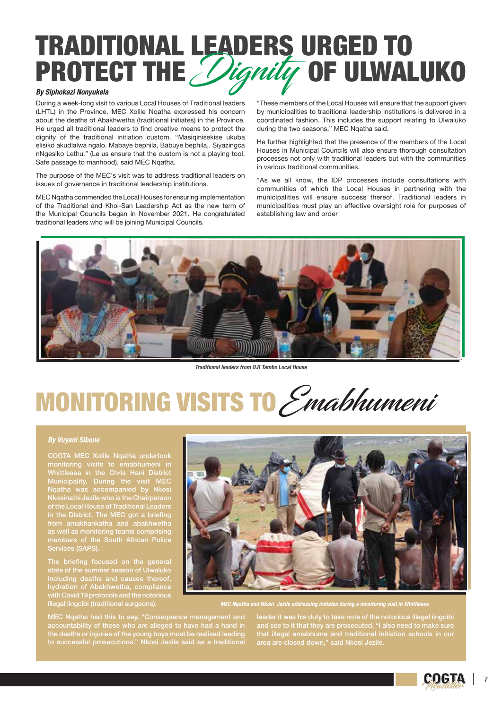## TRADITIONAL LEADERS URGED TO PROTECT THE *Dignity* OF ULWALUKO

#### *By Siphokazi Nonyukela*

During a week-long visit to various Local Houses of Traditional leaders (LHTL) in the Province, MEC Xolile Nqatha expressed his concern about the deaths of Abakhwetha (traditional initiates) in the Province. He urged all traditional leaders to find creative means to protect the dignity of the traditional initiation custom. "Masiqinisekise ukuba elisiko akudlalwa ngalo. Mabaye bephila, Babuye bephila,. Siyazingca nNgesiko Lethu." (Le us ensure that the custom is not a playing tool. Safe passage to manhood), said MEC Nqatha.

The purpose of the MEC's visit was to address traditional leaders on issues of governance in traditional leadership institutions.

MEC Nqatha commended the Local Houses for ensuring implementation of the Traditional and Khoi-San Leadership Act as the new term of the Municipal Councils began in November 2021. He congratulated traditional leaders who will be joining Municipal Councils.

"These members of the Local Houses will ensure that the support given by municipalities to traditional leadership institutions is delivered in a coordinated fashion. This includes the support relating to Ulwaluko during the two seasons," MEC Nqatha said.

He further highlighted that the presence of the members of the Local Houses in Municipal Councils will also ensure thorough consultation processes not only with traditional leaders but with the communities in various traditional communities.

"As we all know, the IDP processes include consultations with communities of which the Local Houses in partnering with the municipalities will ensure success thereof. Traditional leaders in municipalities must play an effective oversight role for purposes of establishing law and order



*Traditional leaders from O.R Tambo Local House*

# MONITORING VISITS TO Emabhumeni

#### *By Vuyani Sibene*

COGTA MEC Xolile Nqatha undertook monitoring visits to emabhumeni in Whittlesea in the Chris Hani District Municipality. During the visit MEC Nqatha was accompanied by Nkosi Nkosinathi Jezile who is the Chairperson of the Local House of Traditional Leaders in the District. The MEC got a briefing from amakhankatha and abakhwetha as well as monitoring teams comprising

The briefing focused on the general of the summer season of Ulwaluko including deaths and causes thereof, hydration of Abakhwetha, compliance with Covid 19 protocols and the notorious illegal iingcibi (traditional surgeons).

*MEC Nqatha and Nkosi Jezile addressing initiates during a monitoring visit in Whittlesea*

MEC Nqatha had this to say, "Consequence management and the deaths or injuries of the young boys must be realised leading

leader it was his duty to take note of the notorious illegal iingcibi that illegal amabhuma and traditional initiation schools in our area are closed down," said Nkosi Jezile.